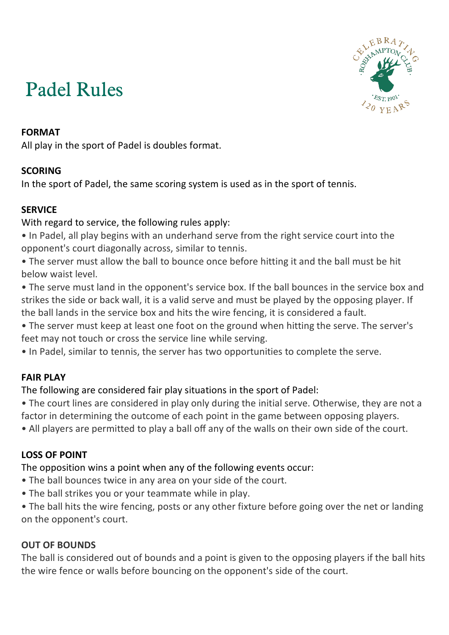# Padel Rules



# **FORMAT**

All play in the sport of Padel is doubles format.

# **SCORING**

In the sport of Padel, the same scoring system is used as in the sport of tennis.

# **SERVICE**

With regard to service, the following rules apply:

- In Padel, all play begins with an underhand serve from the right service court into the opponent's court diagonally across, similar to tennis.
- The server must allow the ball to bounce once before hitting it and the ball must be hit below waist level.
- The serve must land in the opponent's service box. If the ball bounces in the service box and strikes the side or back wall, it is a valid serve and must be played by the opposing player. If the ball lands in the service box and hits the wire fencing, it is considered a fault.
- The server must keep at least one foot on the ground when hitting the serve. The server's feet may not touch or cross the service line while serving.
- In Padel, similar to tennis, the server has two opportunities to complete the serve.

# **FAIR PLAY**

# The following are considered fair play situations in the sport of Padel:

- The court lines are considered in play only during the initial serve. Otherwise, they are not a factor in determining the outcome of each point in the game between opposing players.
- All players are permitted to play a ball off any of the walls on their own side of the court.

# **LOSS OF POINT**

The opposition wins a point when any of the following events occur:

- The ball bounces twice in any area on your side of the court.
- The ball strikes you or your teammate while in play.
- The ball hits the wire fencing, posts or any other fixture before going over the net or landing on the opponent's court.

# **OUT OF BOUNDS**

The ball is considered out of bounds and a point is given to the opposing players if the ball hits the wire fence or walls before bouncing on the opponent's side of the court.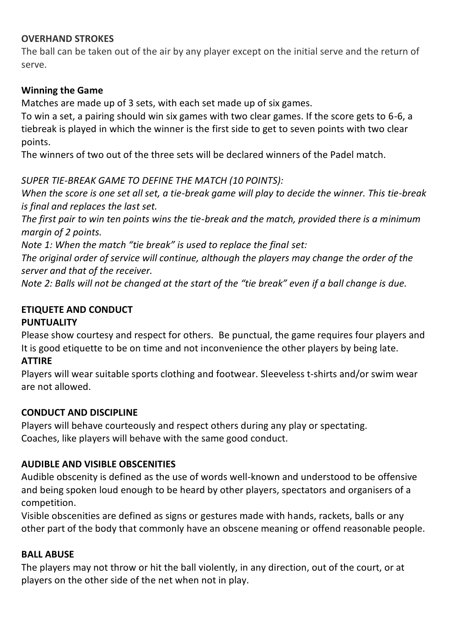## **OVERHAND STROKES**

The ball can be taken out of the air by any player except on the initial serve and the return of serve.

## **Winning the Game**

Matches are made up of 3 sets, with each set made up of six games.

To win a set, a pairing should win six games with two clear games. If the score gets to 6-6, a tiebreak is played in which the winner is the first side to get to seven points with two clear points.

The winners of two out of the three sets will be declared winners of the Padel match.

#### *SUPER TIE-BREAK GAME TO DEFINE THE MATCH (10 POINTS):*

*When the score is one set all set, a tie-break game will play to decide the winner. This tie-break is final and replaces the last set.*

*The first pair to win ten points wins the tie-break and the match, provided there is a minimum margin of 2 points.*

*Note 1: When the match "tie break" is used to replace the final set:* 

*The original order of service will continue, although the players may change the order of the server and that of the receiver.*

*Note 2: Balls will not be changed at the start of the "tie break" even if a ball change is due.*

# **ETIQUETE AND CONDUCT**

#### **PUNTUALITY**

Please show courtesy and respect for others.Be punctual, the game requires four players and It is good etiquette to be on time and not inconvenience the other players by being late. **ATTIRE**

Players will wear suitable sports clothing and footwear. Sleeveless t-shirts and/or swim wear are not allowed.

#### **CONDUCT AND DISCIPLINE**

Players will behave courteously and respect others during any play or spectating. Coaches, like players will behave with the same good conduct.

# **AUDIBLE AND VISIBLE OBSCENITIES**

Audible obscenity is defined as the use of words well-known and understood to be offensive and being spoken loud enough to be heard by other players, spectators and organisers of a competition.

Visible obscenities are defined as signs or gestures made with hands, rackets, balls or any other part of the body that commonly have an obscene meaning or offend reasonable people.

#### **BALL ABUSE**

The players may not throw or hit the ball violently, in any direction, out of the court, or at players on the other side of the net when not in play.